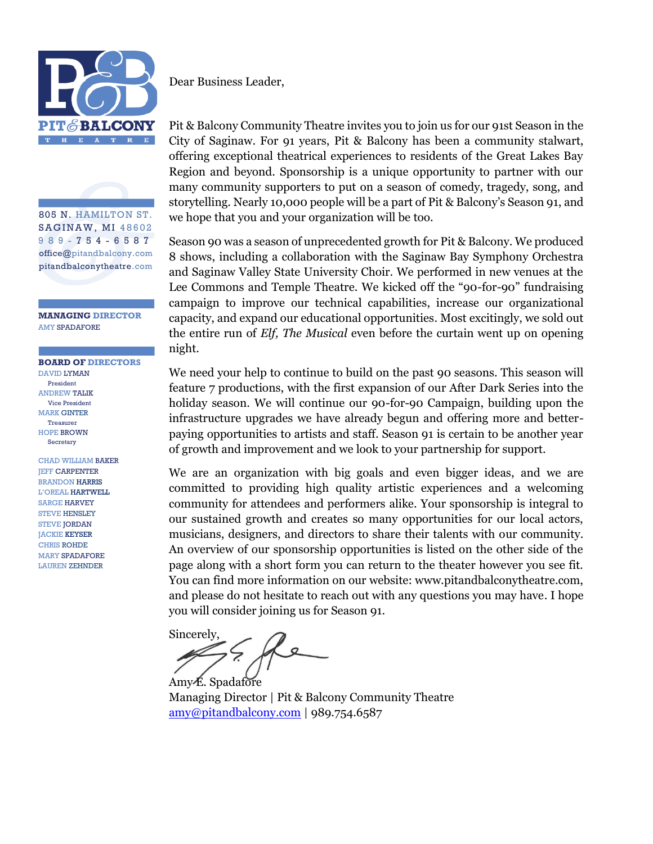

Dear Business Leader,

805 N. HAMILTON ST. SAGINAW, MI 48602 9 8 9 - 754 - 6 5 8 7 office@pitandbalcony.com pitandbalconytheatre.com

**MANAGING DIRECTOR** AMY SPADAFORE

#### **BOARD OF DIRECTORS**

DAVID LYMAN President ANDREW TALIK Vice President MARK GINTER Treasurer HOPE BROWN Secretary

CHAD WILLIAM BAKER *JEFF CARPENTER* BRANDON HARRIS L'OREAL HARTWELL SARGE HARVEY STEVE HENSLEY **STEVE JORDAN** JACKIE KEYSER CHRIS ROHDE MARY SPADAFORE LAUREN ZEHNDER

Pit & Balcony Community Theatre invites you to join us for our 91st Season in the City of Saginaw. For 91 years, Pit & Balcony has been a community stalwart, offering exceptional theatrical experiences to residents of the Great Lakes Bay Region and beyond. Sponsorship is a unique opportunity to partner with our many community supporters to put on a season of comedy, tragedy, song, and storytelling. Nearly 10,000 people will be a part of Pit & Balcony's Season 91, and we hope that you and your organization will be too.

Season 90 was a season of unprecedented growth for Pit & Balcony. We produced 8 shows, including a collaboration with the Saginaw Bay Symphony Orchestra and Saginaw Valley State University Choir. We performed in new venues at the Lee Commons and Temple Theatre. We kicked off the "90-for-90" fundraising campaign to improve our technical capabilities, increase our organizational capacity, and expand our educational opportunities. Most excitingly, we sold out the entire run of *Elf, The Musical* even before the curtain went up on opening night.

We need your help to continue to build on the past 90 seasons. This season will feature 7 productions, with the first expansion of our After Dark Series into the holiday season. We will continue our 90-for-90 Campaign, building upon the infrastructure upgrades we have already begun and offering more and betterpaying opportunities to artists and staff. Season 91 is certain to be another year of growth and improvement and we look to your partnership for support.

We are an organization with big goals and even bigger ideas, and we are committed to providing high quality artistic experiences and a welcoming community for attendees and performers alike. Your sponsorship is integral to our sustained growth and creates so many opportunities for our local actors, musicians, designers, and directors to share their talents with our community. An overview of our sponsorship opportunities is listed on the other side of the page along with a short form you can return to the theater however you see fit. You can find more information on our website: www.pitandbalconytheatre.com, and please do not hesitate to reach out with any questions you may have. I hope you will consider joining us for Season 91.

Sincerely,  $\circ$ 

Amy E. Spadafore Managing Director | Pit & Balcony Community Theatre [amy@pitandbalcony.com](mailto:amy@pitandbalcony.com) | 989.754.6587